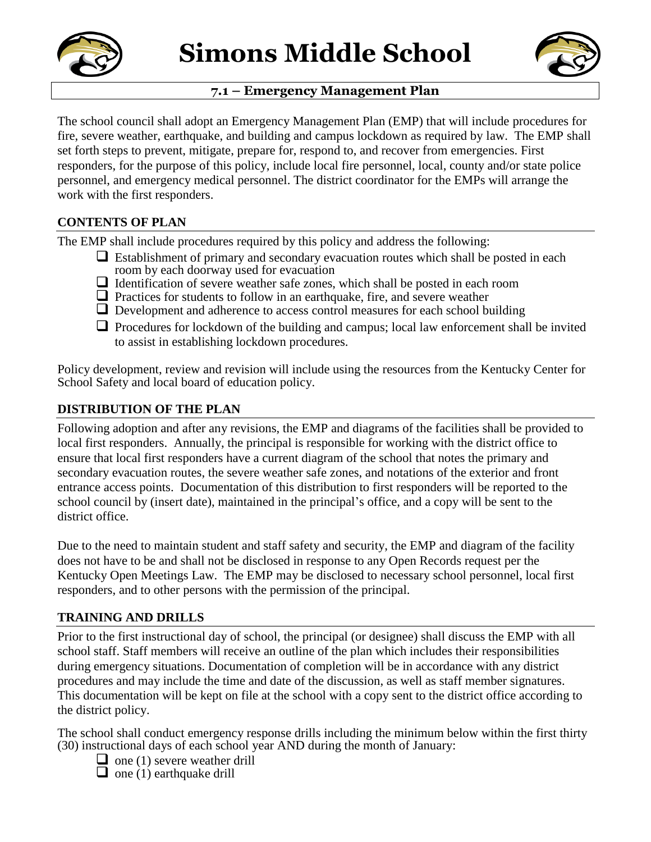



# **7.1 – Emergency Management Plan**

The school council shall adopt an Emergency Management Plan (EMP) that will include procedures for fire, severe weather, earthquake, and building and campus lockdown as required by law. The EMP shall set forth steps to prevent, mitigate, prepare for, respond to, and recover from emergencies. First responders, for the purpose of this policy, include local fire personnel, local, county and/or state police personnel, and emergency medical personnel. The district coordinator for the EMPs will arrange the work with the first responders.

# **CONTENTS OF PLAN**

The EMP shall include procedures required by this policy and address the following:

- $\Box$  Establishment of primary and secondary evacuation routes which shall be posted in each room by each doorway used for evacuation
- $\Box$  Identification of severe weather safe zones, which shall be posted in each room
- $\Box$  Practices for students to follow in an earthquake, fire, and severe weather
- $\Box$  Development and adherence to access control measures for each school building
- $\Box$  Procedures for lockdown of the building and campus; local law enforcement shall be invited to assist in establishing lockdown procedures.

Policy development, review and revision will include using the resources from the Kentucky Center for School Safety and local board of education policy.

## **DISTRIBUTION OF THE PLAN**

Following adoption and after any revisions, the EMP and diagrams of the facilities shall be provided to local first responders. Annually, the principal is responsible for working with the district office to ensure that local first responders have a current diagram of the school that notes the primary and secondary evacuation routes, the severe weather safe zones, and notations of the exterior and front entrance access points. Documentation of this distribution to first responders will be reported to the school council by (insert date), maintained in the principal's office, and a copy will be sent to the district office.

Due to the need to maintain student and staff safety and security, the EMP and diagram of the facility does not have to be and shall not be disclosed in response to any Open Records request per the Kentucky Open Meetings Law. The EMP may be disclosed to necessary school personnel, local first responders, and to other persons with the permission of the principal.

## **TRAINING AND DRILLS**

Prior to the first instructional day of school, the principal (or designee) shall discuss the EMP with all school staff. Staff members will receive an outline of the plan which includes their responsibilities during emergency situations. Documentation of completion will be in accordance with any district procedures and may include the time and date of the discussion, as well as staff member signatures. This documentation will be kept on file at the school with a copy sent to the district office according to the district policy.

The school shall conduct emergency response drills including the minimum below within the first thirty (30) instructional days of each school year AND during the month of January:

- $\Box$  one (1) severe weather drill
- $\Box$  one (1) earthquake drill